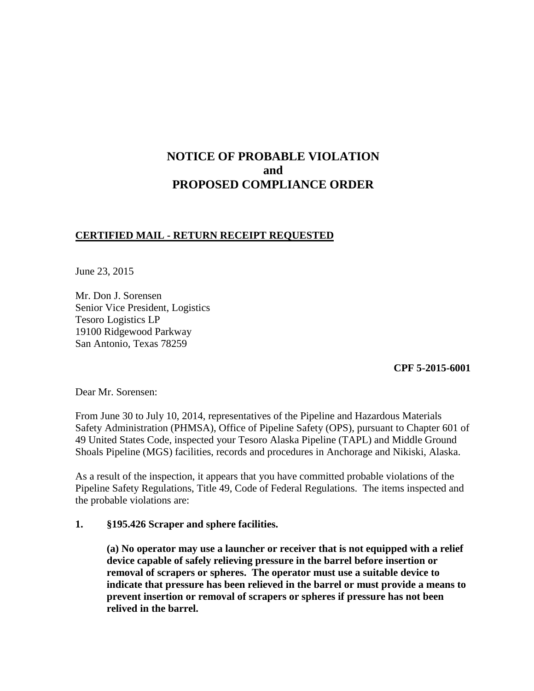# **NOTICE OF PROBABLE VIOLATION and PROPOSED COMPLIANCE ORDER**

# **CERTIFIED MAIL - RETURN RECEIPT REQUESTED**

June 23, 2015

Mr. Don J. Sorensen Senior Vice President, Logistics Tesoro Logistics LP 19100 Ridgewood Parkway San Antonio, Texas 78259

**CPF 5-2015-6001**

Dear Mr. Sorensen:

From June 30 to July 10, 2014, representatives of the Pipeline and Hazardous Materials Safety Administration (PHMSA), Office of Pipeline Safety (OPS), pursuant to Chapter 601 of 49 United States Code, inspected your Tesoro Alaska Pipeline (TAPL) and Middle Ground Shoals Pipeline (MGS) facilities, records and procedures in Anchorage and Nikiski, Alaska.

As a result of the inspection, it appears that you have committed probable violations of the Pipeline Safety Regulations, Title 49, Code of Federal Regulations. The items inspected and the probable violations are:

#### **1. §195.426 Scraper and sphere facilities.**

**(a) No operator may use a launcher or receiver that is not equipped with a relief device capable of safely relieving pressure in the barrel before insertion or removal of scrapers or spheres. The operator must use a suitable device to indicate that pressure has been relieved in the barrel or must provide a means to prevent insertion or removal of scrapers or spheres if pressure has not been relived in the barrel.**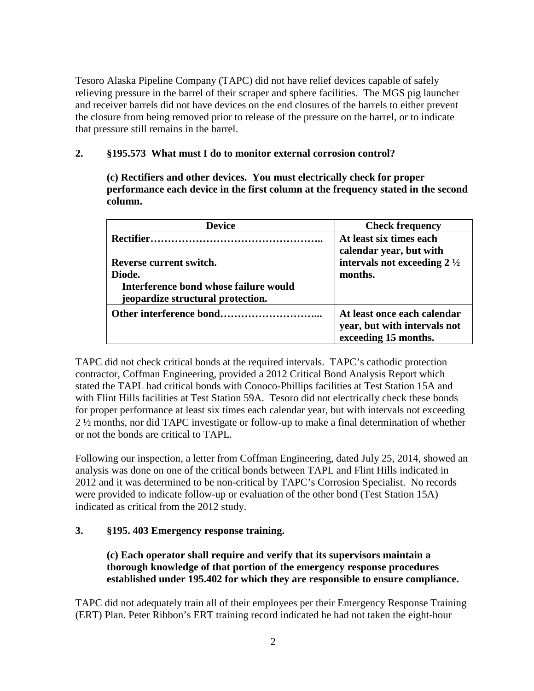Tesoro Alaska Pipeline Company (TAPC) did not have relief devices capable of safely relieving pressure in the barrel of their scraper and sphere facilities. The MGS pig launcher and receiver barrels did not have devices on the end closures of the barrels to either prevent the closure from being removed prior to release of the pressure on the barrel, or to indicate that pressure still remains in the barrel.

# **2. §195.573 What must I do to monitor external corrosion control?**

**(c) Rectifiers and other devices. You must electrically check for proper performance each device in the first column at the frequency stated in the second column.**

| <b>Device</b>                         | <b>Check frequency</b>                 |
|---------------------------------------|----------------------------------------|
|                                       | At least six times each                |
|                                       | calendar year, but with                |
| Reverse current switch.               | intervals not exceeding $2\frac{1}{2}$ |
| Diode.                                | months.                                |
| Interference bond whose failure would |                                        |
| jeopardize structural protection.     |                                        |
|                                       | At least once each calendar            |
|                                       | year, but with intervals not           |
|                                       | exceeding 15 months.                   |

TAPC did not check critical bonds at the required intervals. TAPC's cathodic protection contractor, Coffman Engineering, provided a 2012 Critical Bond Analysis Report which stated the TAPL had critical bonds with Conoco-Phillips facilities at Test Station 15A and with Flint Hills facilities at Test Station 59A. Tesoro did not electrically check these bonds for proper performance at least six times each calendar year, but with intervals not exceeding 2 ½ months, nor did TAPC investigate or follow-up to make a final determination of whether or not the bonds are critical to TAPL.

Following our inspection, a letter from Coffman Engineering, dated July 25, 2014, showed an analysis was done on one of the critical bonds between TAPL and Flint Hills indicated in 2012 and it was determined to be non-critical by TAPC's Corrosion Specialist. No records were provided to indicate follow-up or evaluation of the other bond (Test Station 15A) indicated as critical from the 2012 study.

# **3. §195. 403 Emergency response training.**

**(c) Each operator shall require and verify that its supervisors maintain a thorough knowledge of that portion of the emergency response procedures established under 195.402 for which they are responsible to ensure compliance.**

TAPC did not adequately train all of their employees per their Emergency Response Training (ERT) Plan. Peter Ribbon's ERT training record indicated he had not taken the eight-hour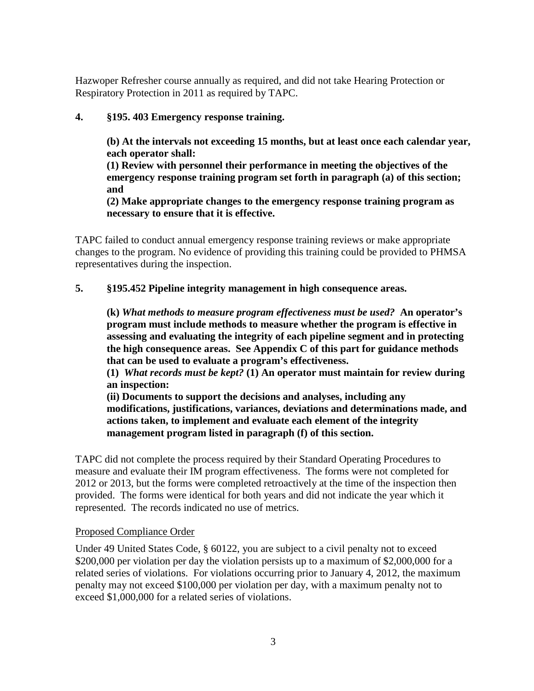Hazwoper Refresher course annually as required, and did not take Hearing Protection or Respiratory Protection in 2011 as required by TAPC.

# **4. §195. 403 Emergency response training.**

**(b) At the intervals not exceeding 15 months, but at least once each calendar year, each operator shall:**

**(1) Review with personnel their performance in meeting the objectives of the emergency response training program set forth in paragraph (a) of this section; and** 

**(2) Make appropriate changes to the emergency response training program as necessary to ensure that it is effective.**

TAPC failed to conduct annual emergency response training reviews or make appropriate changes to the program. No evidence of providing this training could be provided to PHMSA representatives during the inspection.

#### **5. §195.452 Pipeline integrity management in high consequence areas.**

**(k)** *What methods to measure program effectiveness must be used?* **An operator's program must include methods to measure whether the program is effective in assessing and evaluating the integrity of each pipeline segment and in protecting the high consequence areas. See Appendix C of this part for guidance methods that can be used to evaluate a program's effectiveness.**

**(1)** *What records must be kept?* **(1) An operator must maintain for review during an inspection:**

**(ii) Documents to support the decisions and analyses, including any modifications, justifications, variances, deviations and determinations made, and actions taken, to implement and evaluate each element of the integrity management program listed in paragraph (f) of this section.** 

TAPC did not complete the process required by their Standard Operating Procedures to measure and evaluate their IM program effectiveness. The forms were not completed for 2012 or 2013, but the forms were completed retroactively at the time of the inspection then provided. The forms were identical for both years and did not indicate the year which it represented. The records indicated no use of metrics.

#### Proposed Compliance Order

Under 49 United States Code, § 60122, you are subject to a civil penalty not to exceed \$200,000 per violation per day the violation persists up to a maximum of \$2,000,000 for a related series of violations. For violations occurring prior to January 4, 2012, the maximum penalty may not exceed \$100,000 per violation per day, with a maximum penalty not to exceed \$1,000,000 for a related series of violations.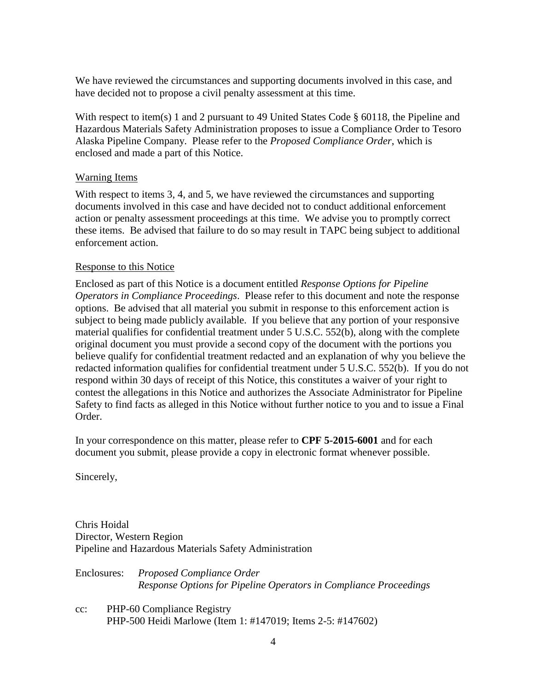We have reviewed the circumstances and supporting documents involved in this case, and have decided not to propose a civil penalty assessment at this time.

With respect to item(s) 1 and 2 pursuant to 49 United States Code § 60118, the Pipeline and Hazardous Materials Safety Administration proposes to issue a Compliance Order to Tesoro Alaska Pipeline Company. Please refer to the *Proposed Compliance Order*, which is enclosed and made a part of this Notice.

# Warning Items

With respect to items 3, 4, and 5, we have reviewed the circumstances and supporting documents involved in this case and have decided not to conduct additional enforcement action or penalty assessment proceedings at this time. We advise you to promptly correct these items. Be advised that failure to do so may result in TAPC being subject to additional enforcement action.

# Response to this Notice

Enclosed as part of this Notice is a document entitled *Response Options for Pipeline Operators in Compliance Proceedings*. Please refer to this document and note the response options. Be advised that all material you submit in response to this enforcement action is subject to being made publicly available. If you believe that any portion of your responsive material qualifies for confidential treatment under 5 U.S.C. 552(b), along with the complete original document you must provide a second copy of the document with the portions you believe qualify for confidential treatment redacted and an explanation of why you believe the redacted information qualifies for confidential treatment under 5 U.S.C. 552(b). If you do not respond within 30 days of receipt of this Notice, this constitutes a waiver of your right to contest the allegations in this Notice and authorizes the Associate Administrator for Pipeline Safety to find facts as alleged in this Notice without further notice to you and to issue a Final Order.

In your correspondence on this matter, please refer to **CPF 5-2015-6001** and for each document you submit, please provide a copy in electronic format whenever possible.

Sincerely,

Chris Hoidal Director, Western Region Pipeline and Hazardous Materials Safety Administration

| Enclosures: | Proposed Compliance Order                                         |
|-------------|-------------------------------------------------------------------|
|             | Response Options for Pipeline Operators in Compliance Proceedings |
|             |                                                                   |

cc: PHP-60 Compliance Registry PHP-500 Heidi Marlowe (Item 1: #147019; Items 2-5: #147602)